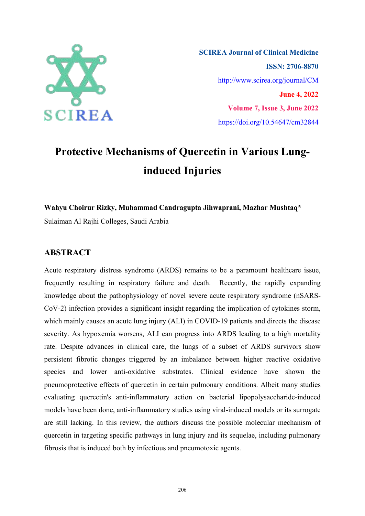

**SCIREA Journal of Clinical Medicine ISSN: 2706-8870** http://www.scirea.org/journal/CM **June 4, 2022 Volume 7, Issue 3, June 2022** https://doi.org/10.54647/cm32844

# **Protective Mechanisms of Quercetin in Various Lunginduced Injuries**

**Wahyu Choirur Rizky, Muhammad Candragupta Jihwaprani, Mazhar Mushtaq\***

Sulaiman Al Rajhi Colleges, Saudi Arabia

# **ABSTRACT**

Acute respiratory distress syndrome (ARDS) remains to be a paramount healthcare issue, frequently resulting in respiratory failure and death. Recently, the rapidly expanding knowledge about the pathophysiology of novel severe acute respiratory syndrome (nSARS- CoV-2) infection provides a significant insight regarding the implication of cytokines storm, which mainly causes an acute lung injury (ALI) in COVID-19 patients and directs the disease severity. As hypoxemia worsens, ALI can progress into ARDS leading to a high mortality rate. Despite advances in clinical care, the lungs of a subset of ARDS survivors show persistent fibrotic changes triggered by an imbalance between higher reactive oxidative species and lower anti-oxidative substrates. Clinical evidence have shown the pneumoprotective effects of quercetin in certain pulmonary conditions. Albeit many studies evaluating quercetin's anti-inflammatory action on bacterial lipopolysaccharide-induced models have been done, anti-inflammatory studies using viral-induced models or its surrogate are still lacking. In this review, the authors discuss the possible molecular mechanism of quercetin in targeting specific pathways in lung injury and its sequelae, including pulmonary fibrosis that is induced both by infectious and pneumotoxic agents.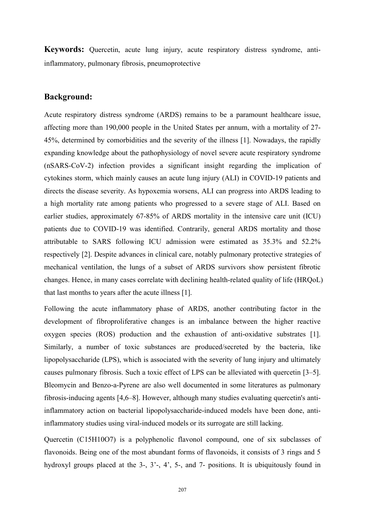**Keywords:** Quercetin, acute lung injury, acute respiratory distress syndrome, antiinflammatory, pulmonary fibrosis, pneumoprotective

## **Background:**

Acute respiratory distress syndrome (ARDS) remains to be a paramount healthcare issue, affecting more than 190,000 people in the United States per annum, with a mortality of 27- 45%, determined by comorbidities and the severity of the illness [1]. Nowadays, the rapidly expanding knowledge about the pathophysiology of novel severe acute respiratory syndrome (nSARS-CoV-2) infection provides a significant insight regarding the implication of cytokines storm, which mainly causes an acute lung injury (ALI) in COVID-19 patients and directs the disease severity. As hypoxemia worsens, ALI can progress into ARDS leading to a high mortality rate among patients who progressed to a severe stage of ALI. Based on earlier studies, approximately 67-85% of ARDS mortality in the intensive care unit (ICU) patients due to COVID-19 was identified. Contrarily, general ARDS mortality and those attributable to SARS following ICU admission were estimated as 35.3% and 52.2% respectively [2]. Despite advances in clinical care, notably pulmonary protective strategies of mechanical ventilation, the lungs of a subset of ARDS survivors show persistent fibrotic changes. Hence, in many cases correlate with declining health-related quality of life (HRQoL) that last months to years after the acute illness [1].

Following the acute inflammatory phase of ARDS, another contributing factor in the development of fibroproliferative changes is an imbalance between the higher reactive oxygen species (ROS) production and the exhaustion of anti-oxidative substrates [1]. Similarly, a number of toxic substances are produced/secreted by the bacteria, like lipopolysaccharide (LPS), which is associated with the severity of lung injury and ultimately causes pulmonary fibrosis. Such a toxic effect of LPS can be alleviated with quercetin [3–5]. Bleomycin and Benzo-a-Pyrene are also well documented in some literatures as pulmonary fibrosis-inducing agents [4,6–8]. However, although many studies evaluating quercetin's antiinflammatory action on bacterial lipopolysaccharide-induced models have been done, antiinflammatory studies using viral-induced models or its surrogate are still lacking.

Quercetin (C15H10O7) is a polyphenolic flavonol compound, one of six subclasses of flavonoids. Being one of the most abundant forms of flavonoids, it consists of 3 rings and 5 hydroxyl groups placed at the 3-, 3'-, 4', 5-, and 7- positions. It is ubiquitously found in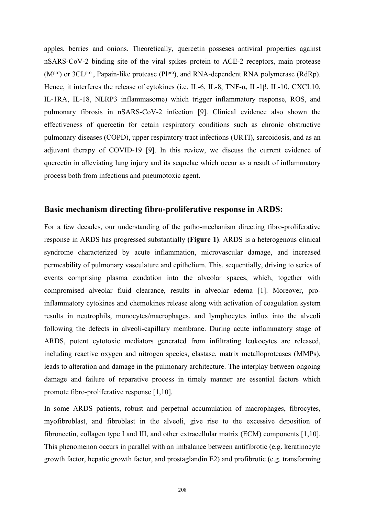apples, berries and onions. Theoretically, quercetin posseses antiviral properties against nSARS-CoV-2 binding site of the viral spikes protein to ACE-2 receptors, main protease (M<sup>pro</sup>) or 3CL<sup>pro</sup>, Papain-like protease (Pl<sup>pro</sup>), and RNA-dependent RNA polymerase (RdRp). Hence, it interferes the release of cytokines (i.e. IL-6, IL-8, TNF-α, IL-1β, IL-10, CXCL10, IL-1RA, IL-18, NLRP3 inflammasome) which trigger inflammatory response, ROS, and pulmonary fibrosis in nSARS-CoV-2 infection [9]. Clinical evidence also shown the effectiveness of quercetin for cetain respiratory conditions such as chronic obstructive pulmonary diseases (COPD), upper respiratory tract infections (URTI), sarcoidosis, and as an adjuvant therapy of COVID-19 [9]. In this review, we discuss the current evidence of quercetin in alleviating lung injury and its sequelae which occur as a result of inflammatory process both from infectious and pneumotoxic agent.

# **Basic mechanism directing fibro-proliferative response in ARDS:**

For a few decades, our understanding of the patho-mechanism directing fibro-proliferative response in ARDS has progressed substantially **(Figure 1)**. ARDS is a heterogenous clinical syndrome characterized by acute inflammation, microvascular damage, and increased permeability of pulmonary vasculature and epithelium. This, sequentially, driving to series of events comprising plasma exudation into the alveolar spaces, which, together with compromised alveolar fluid clearance, results in alveolar edema [1]. Moreover, proinflammatory cytokines and chemokines release along with activation of coagulation system results in neutrophils, monocytes/macrophages, and lymphocytes influx into the alveoli following the defects in alveoli-capillary membrane. During acute inflammatory stage of ARDS, potent cytotoxic mediators generated from infiltrating leukocytes are released, including reactive oxygen and nitrogen species, elastase, matrix metalloproteases (MMPs), leads to alteration and damage in the pulmonary architecture. The interplay between ongoing damage and failure of reparative process in timely manner are essential factors which promote fibro-proliferative response [1,10].

In some ARDS patients, robust and perpetual accumulation of macrophages, fibrocytes, myofibroblast, and fibroblast in the alveoli, give rise to the excessive deposition of fibronectin, collagen type I and III, and other extracellular matrix (ECM) components [1,10]. This phenomenon occurs in parallel with an imbalance between antifibrotic (e.g. keratinocyte growth factor, hepatic growth factor, and prostaglandin E2) and profibrotic (e.g. transforming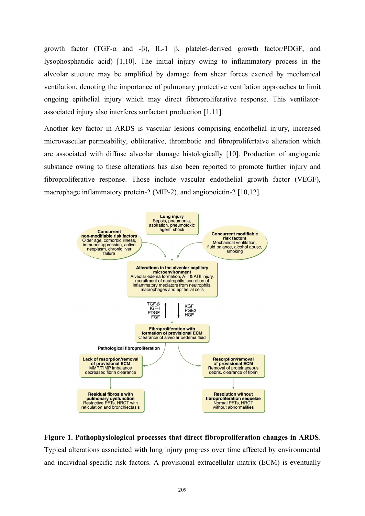growth factor (TGF-α and -β), IL-1 β, platelet-derived growth factor/PDGF, and lysophosphatidic acid) [1,10]. The initial injury owing to inflammatory process in the alveolar stucture may be amplified by damage from shear forces exerted by mechanical ventilation, denoting the importance of pulmonary protective ventilation approaches to limit ongoing epithelial injury which may direct fibroproliferative response. This ventilator associated injury also interferes surfactant production [1,11].

Another key factor in ARDS is vascular lesions comprising endothelial injury, increased microvascular permeability, obliterative, thrombotic and fibroprolifertaive alteration which are associated with diffuse alveolar damage histologically [10]. Production of angiogenic substance owing to these alterations has also been reported to promote further injury and fibroproliferative response. Those include vascular endothelial growth factor (VEGF), macrophage inflammatory protein-2 (MIP-2), and angiopoietin-2 [10,12].



# **Figure 1. Pathophysiological processes that direct fibroproliferation changes in ARDS**. Typical alterations associated with lung injury progress over time affected by environmental and individual-specific risk factors. A provisional extracellular matrix (ECM) is eventually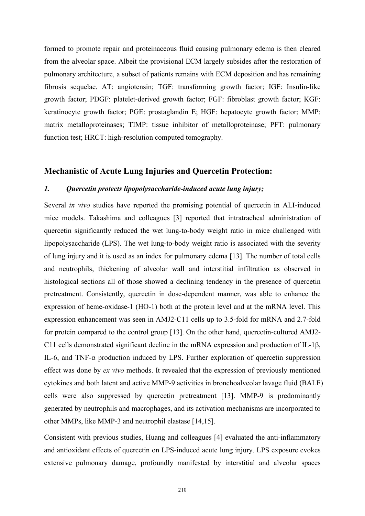formed to promote repair and proteinaceous fluid causing pulmonary edema is then cleared from the alveolar space. Albeit the provisional ECM largely subsides after the restoration of pulmonary architecture, a subset of patients remains with ECM deposition and has remaining fibrosis sequelae. AT: angiotensin; TGF: transforming growth factor; IGF: Insulin-like growth factor; PDGF: platelet-derived growth factor; FGF: fibroblast growth factor; KGF: keratinocyte growth factor; PGE: prostaglandin E; HGF: hepatocyte growth factor; MMP: matrix metalloproteinases; TIMP: tissue inhibitor of metalloproteinase; PFT: pulmonary function test; HRCT: high-resolution computed tomography.

# **Mechanistic of Acute Lung Injuries and Quercetin Protection:**

#### *1. Quercetin protects lipopolysaccharide-induced acute lung injury;*

Several *in vivo* studies have reported the promising potential of quercetin in ALI-induced mice models.Takashima and colleagues [3] reported that intratracheal administration of quercetin significantly reduced the wet lung-to-body weight ratio in mice challenged with lipopolysaccharide (LPS). The wet lung-to-body weight ratio is associated with the severity of lung injury and it is used as an index for pulmonary edema [13]. The number of total cells and neutrophils, thickening of alveolar wall and interstitial infiltration as observed in histological sections all of those showed a declining tendency in the presence of quercetin pretreatment. Consistently, quercetin in dose-dependent manner, was able to enhance the expression of heme-oxidase-1 (HO-1) both at the protein level and at the mRNA level. This expression enhancement was seen in AMJ2-C11 cellsup to 3.5-fold for mRNA and 2.7-fold for protein compared to the control group [13]. On the other hand, quercetin-cultured AMJ2-C11 cells demonstrated significant decline in the mRNA expression and production of IL-1β, IL-6, and TNF-α production induced by LPS. Further exploration of quercetin suppression effect was done by *ex vivo* methods. It revealed that the expression of previously mentioned cytokines and both latent and active MMP-9 activities in bronchoalveolar lavage fluid (BALF) cells were also suppressed by quercetin pretreatment [13]. MMP-9 is predominantly generated by neutrophils and macrophages, and its activation mechanisms are incorporated to other MMPs, like MMP-3 and neutrophil elastase [14,15].

Consistent with previous studies, Huang and colleagues [4] evaluated the anti-inflammatory and antioxidant effects of quercetin on LPS-induced acute lung injury. LPS exposure evokes extensive pulmonary damage, profoundly manifested by interstitial and alveolar spaces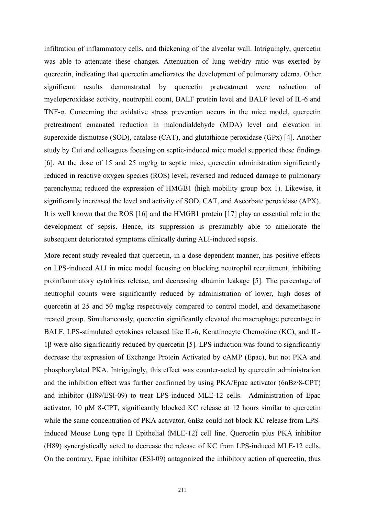infiltration of inflammatory cells, and thickening of the alveolar wall. Intriguingly, quercetin was able to attenuate these changes. Attenuation of lung wet/dry ratio was exerted by quercetin, indicating that quercetin ameliorates the development of pulmonary edema. Other significant results demonstrated by quercetin pretreatment were reduction of myeloperoxidase activity, neutrophil count, BALF protein level and BALF level of IL-6 and TNF-α. Concerning the oxidative stress prevention occurs in the mice model, quercetin pretreatment emanated reduction in malondialdehyde (MDA) level and elevation in superoxide dismutase (SOD), catalase (CAT), and glutathione peroxidase (GPx) [4]. Another study by Cui and colleagues focusing on septic-induced mice model supported these findings [6]. At the dose of 15 and 25 mg/kg to septic mice, quercetin administration significantly reduced in reactive oxygen species (ROS) level; reversed and reduced damage to pulmonary parenchyma; reduced the expression of HMGB1 (high mobility group box 1). Likewise, it significantly increased the level and activity of SOD, CAT, and Ascorbate peroxidase (APX). It is well known that the ROS [16] and the HMGB1 protein [17] play an essential role in the development of sepsis. Hence, its suppression is presumably able to ameliorate the subsequent deteriorated symptoms clinically during ALI-induced sepsis.

More recent study revealed that quercetin, in a dose-dependent manner, has positive effects on LPS-induced ALI in mice model focusing on blocking neutrophil recruitment, inhibiting proinflammatory cytokines release, and decreasing albumin leakage [5]. The percentage of neutrophil counts were significantly reduced by administration of lower, high doses of quercetin at 25 and 50 mg/kg respectively compared to control model, and dexamethasone treated group. Simultaneously, quercetin significantly elevated the macrophage percentage in BALF. LPS-stimulated cytokines released like IL-6, Keratinocyte Chemokine (KC), and IL- 1β were also significantly reduced by quercetin [5]. LPS induction was found to significantly decrease the expression of Exchange Protein Activated by cAMP (Epac), but not PKA and phosphorylated PKA. Intriguingly, this effect was counter-acted by quercetin administration and the inhibition effect was further confirmed by using PKA/Epac activator (6nBz/8-CPT) and inhibitor (H89/ESI-09) to treat LPS-induced MLE-12 cells. Administration of Epac activator, 10 μM 8-CPT, significantly blocked KC release at 12 hours similar to quercetin while the same concentration of PKA activator, 6nBz could not block KC release from LPSinduced Mouse Lung type II Epithelial (MLE-12) cell line. Quercetin plus PKA inhibitor (H89) synergistically acted to decrease the release of KC from LPS-induced MLE-12 cells. On the contrary, Epac inhibitor (ESI-09) antagonized the inhibitory action of quercetin, thus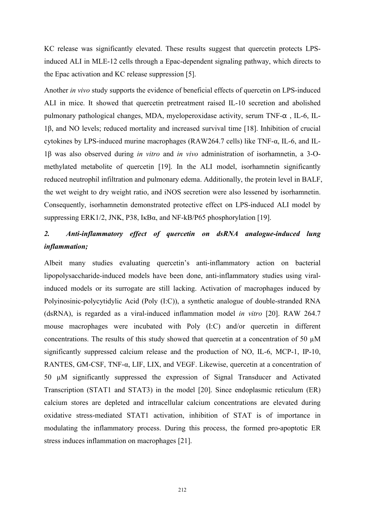KC release was significantly elevated. These results suggest that quercetin protects LPSinduced ALI in MLE-12 cells through a Epac-dependent signaling pathway, which directs to the Epac activation and KC release suppression [5].

Another *in vivo* study supports the evidence of beneficial effects of quercetin on LPS-induced ALI in mice. It showed that quercetin pretreatment raised IL-10 secretion and abolished pulmonary pathological changes, MDA, myeloperoxidase activity, serum TNF- $\alpha$ , IL-6, IL-1β, and NO levels; reduced mortality and increased survival time [18]. Inhibition of crucial cytokines by LPS-induced murine macrophages (RAW264.7 cells) like TNF-α, IL-6, and IL- 1β was also observed during *in vitro* and *in vivo* administration of isorhamnetin, a 3-O methylated metabolite of quercetin [19]. In the ALI model, isorhamnetin significantly reduced neutrophil infiltration and pulmonary edema. Additionally, the protein level in BALF, the wet weight to dry weight ratio, and iNOS secretion were also lessened by isorhamnetin. Consequently, isorhamnetin demonstrated protective effect on LPS-induced ALI model by suppressing ERK1/2, JNK, P38, IκBα, and NF-kB/P65 phosphorylation [19].

# 2. *Anti-inflammatory effect of quercetin on dsRNA analogue-induced lung inflammation;*

Albeit many studies evaluating quercetin's anti-inflammatory action on bacterial lipopolysaccharide-induced models have been done, anti-inflammatory studies using viralinduced models or its surrogate are still lacking. Activation of macrophages induced by Polyinosinic-polycytidylic Acid (Poly (I:C)), a synthetic analogue of double-stranded RNA (dsRNA), is regarded as a viral-induced inflammation model *in vitro* [20].RAW 264.7 mouse macrophages were incubated with Poly (I:C) and/or quercetin in different concentrations. The results of this study showed that quercetin at a concentration of 50  $\mu$ M significantly suppressed calcium release and the production of NO, IL-6, MCP-1, IP-10, RANTES, GM-CSF, TNF-α, LIF, LIX, and VEGF. Likewise, quercetin at a concentration of 50 µM significantly suppressed the expression of Signal Transducer and Activated Transcription (STAT1 and STAT3) in the model [20]. Since endoplasmic reticulum (ER) calcium stores are depleted and intracellular calcium concentrations are elevated during oxidative stress-mediated STAT1 activation, inhibition of STAT is of importance in modulating the inflammatory process. During this process, the formed pro-apoptotic ER stress induces inflammation on macrophages [21].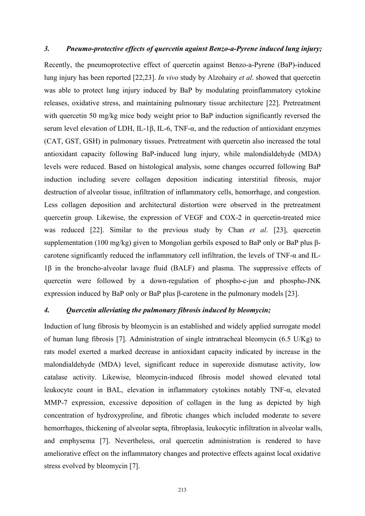#### *3. Pneumo-protective ef ects ofquercetin against Benzo-a-Pyrene induced lung injury;*

Recently, the pneumoprotective effect of quercetin against Benzo-a-Pyrene (BaP)-induced lung injury has been reported [22,23]. *In vivo* study by Alzohairy *et al*. showed that quercetin was able to protect lung injury induced by BaP by modulating proinflammatory cytokine releases, oxidative stress, and maintaining pulmonary tissue architecture [22]. Pretreatment with quercetin 50 mg/kg mice body weight prior to BaP induction significantly reversed the serum level elevation of LDH, IL-1β, IL-6, TNF-α, and the reduction of antioxidant enzymes (CAT, GST, GSH) in pulmonary tissues. Pretreatment with quercetin also increased the total antioxidant capacity following BaP-induced lung injury, while malondialdehyde (MDA) levels were reduced. Based on histological analysis, some changes occurred following BaP induction including severe collagen deposition indicating interstitial fibrosis, major destruction of alveolar tissue, infiltration of inflammatory cells, hemorrhage, and congestion. Less collagen deposition and architectural distortion were observed in the pretreatment quercetin group. Likewise, the expression of VEGF and COX-2 in quercetin-treated mice was reduced [22]. Similar to the previous study by Chan *et al*. [23], quercetin supplementation (100 mg/kg) given to Mongolian gerbils exposed to BaP only or BaP plus β-carotene significantly reduced the inflammatory cell infiltration, the levels of TNF-α and IL-1β in the broncho-alveolar lavage fluid (BALF) and plasma. The suppressive effects of quercetin were followed by a down-regulation of phospho-c-jun and phospho-JNK expression induced by BaP only or BaP plus β-carotene in the pulmonary models [23].

## *4. Quercetin alleviating the pulmonary fibrosis induced by bleomycin;*

Induction of lung fibrosis by bleomycin is an established and widely applied surrogate model of human lung fibrosis [7]. Administration of single intratracheal bleomycin (6.5 U/Kg) to rats model exerted a marked decrease in antioxidant capacity indicated by increase in the malondialdehyde (MDA) level, significant reduce in superoxide dismutase activity, low catalase activity. Likewise, bleomycin-induced fibrosis model showed elevated total leukocyte count in BAL, elevation in inflammatory cytokines notably TNF-α, elevated MMP-7 expression, excessive deposition of collagen in the lung as depicted by high concentration of hydroxyproline, and fibrotic changes which included moderate to severe hemorrhages, thickening of alveolar septa, fibroplasia, leukocytic infiltration in alveolar walls, and emphysema [7]. Nevertheless, oral quercetin administration is rendered to have ameliorative effect on the inflammatory changes and protective effects against local oxidative stress evolved by bleomycin [7].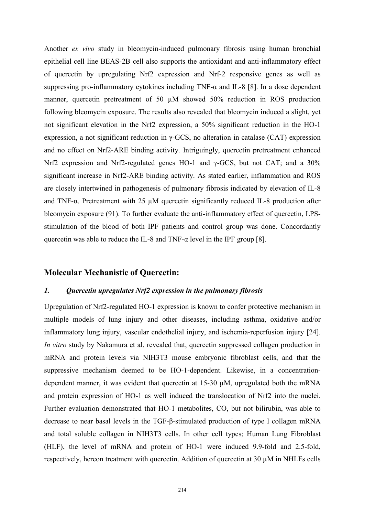Another *ex vivo* study in bleomycin-induced pulmonary fibrosis using human bronchial epithelial cell line BEAS-2B cell also supports the antioxidant and anti-inflammatory effect of quercetin by upregulating Nrf2 expression and Nrf-2 responsive genes as well as suppressing pro-inflammatory cytokines including TNF- $\alpha$  and IL-8 [8]. In a dose dependent manner, quercetin pretreatment of 50  $\mu$ M showed 50% reduction in ROS production following bleomycin exposure. The results also revealed that bleomycin induced a slight, yet not significant elevation in the Nrf2 expression, a 50% significant reduction in the HO-1 expression, a not significant reduction in γ-GCS, no alteration in catalase (CAT) expression and no effect on Nrf2-ARE binding activity. Intriguingly, quercetin pretreatment enhanced Nrf2 expression and Nrf2-regulated genes HO-1 and γ-GCS, but not CAT; and a 30% significant increase in Nrf2-ARE binding activity. As stated earlier, inflammation and ROS are closely intertwined in pathogenesis of pulmonary fibrosis indicated by elevation of IL-8 and TNF- $\alpha$ . Pretreatment with 25  $\mu$ M quercetin significantly reduced IL-8 production after bleomycin exposure (91). To further evaluate the anti-inflammatory effect of quercetin, LPS stimulation of the blood of both IPF patients and control group was done.Concordantly quercetin was able to reduce the IL-8 and TNF- $\alpha$  level in the IPF group [8].

#### **Molecular Mechanistic of Quercetin:**

#### *1. Quercetin upregulates Nrf2 expression in the pulmonary fibrosis*

Upregulation of Nrf2-regulated HO-1 expression is known to confer protective mechanism in multiple models of lung injury and other diseases, including asthma, oxidative and/or inflammatory lung injury, vascular endothelial injury, and ischemia-reperfusion injury [24]. *In vitro* study by Nakamura et al. revealed that, quercetin suppressed collagen production in mRNA and protein levels via NIH3T3 mouse embryonic fibroblast cells, and that the suppressive mechanism deemed to be HO-1-dependent. Likewise, in a concentrationdependent manner, it was evident that quercetin at 15-30 µM, upregulated both the mRNA and protein expression of HO-1 as well induced the translocation of Nrf2 into the nuclei.<br>Further evaluation demonstrated that HO-1 metabolites, CO, but not bilirubin, was able to decrease to near basal levels in the TGF-β-stimulated production of type I collagen mRNA and total soluble collagen in NIH3T3 cells. In other cell types; Human Lung Fibroblast (HLF), the level of mRNA and protein of HO-1 were induced 9.9-fold and 2.5-fold, respectively, hereon treatment with quercetin. Addition of quercetin at  $30 \mu$ M in NHLFs cells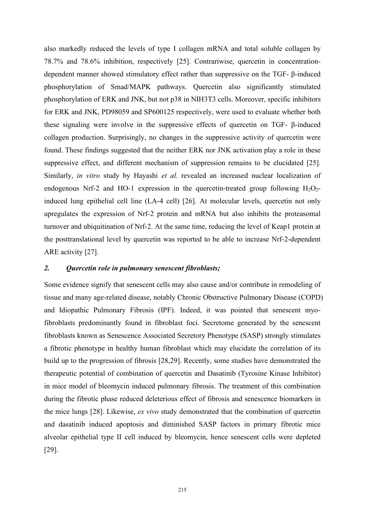also markedly reduced the levels of type I collagen mRNA and total soluble collagen by 78.7% and 78.6% inhibition, respectively [25]. Contrariwise, quercetin in concentration dependent manner showed stimulatory effect rather than suppressive on the TGF- β-induced phosphorylation of Smad/MAPK pathways. Quercetin also significantly stimulated phosphorylation of ERK and JNK, but not p38 in NIH3T3 cells. Moreover, specific inhibitors for ERK and JNK, PD98059 and SP600125 respectively, were used to evaluate whether both these signaling were involve in the suppressive effects of quercetin on TGF- β-induced collagen production. Surprisingly, no changes in the suppressive activity of quercetin were found. These findings suggested that the neither ERK nor JNK activation play a role in these suppressive effect, and different mechanism of suppression remains to be elucidated [25]. Similarly, *in vitro* study by Hayashi *et al.* revealed an increased nuclear localization of endogenous Nrf-2 and HO-1 expression in the quercetin-treated group following  $H_2O_2$ induced lung epithelial cell line (LA-4 cell) [26]. At molecular levels, quercetin not only upregulates the expression of Nrf-2 protein and mRNA but also inhibits the proteasomal turnover and ubiquitination of Nrf-2. At the same time, reducing the level of Keap1 protein at the posttranslational level by quercetin was reported to be able to increase Nrf-2-dependent ARE activity [27].

#### *2. Quercetin role in pulmonary senescent fibroblasts;*

Some evidence signify that senescent cells may also cause and/or contribute in remodeling of tissue and many age-related disease, notably Chronic Obstructive Pulmonary Disease (COPD) and Idiopathic Pulmonary Fibrosis (IPF). Indeed, it was pointed that senescent myofibroblasts predominantly found in fibroblast foci. Secretome generated by the senescent fibroblasts known as Senescence Associated Secretory Phenotype (SASP) strongly stimulates a fibrotic phenotype in healthy human fibroblastwhich may elucidate the correlation of its build up to the progression of fibrosis [28,29]. Recently, some studies have demonstrated the therapeutic potential of combination of quercetin and Dasatinib (Tyrosine Kinase Inhibitor) in mice model of bleomycin induced pulmonary fibrosis. The treatment of this combination during the fibrotic phase reduced deleterious effect of fibrosis and senescence biomarkers in the mice lungs [28]. Likewise, *ex vivo* study demonstrated that the combination of quercetin and dasatinib induced apoptosis and diminished SASP factors in primary fibrotic mice alveolar epithelial type II cell induced by bleomycin, hence senescent cells were depleted [29].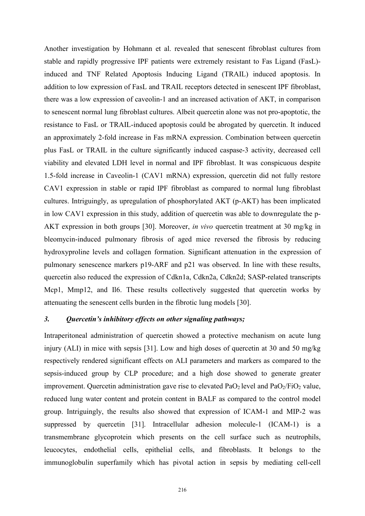Another investigation by Hohmann et al. revealed that senescent fibroblast cultures from stable and rapidly progressive IPF patients were extremely resistant to Fas Ligand (FasL) induced and TNF Related Apoptosis Inducing Ligand (TRAIL) induced apoptosis. In addition to low expression of FasL and TRAIL receptors detected in senescent IPF fibroblast, there was a low expression of caveolin-1 and an increased activation of AKT, in comparison to senescent normal lung fibroblast cultures. Albeit quercetin alone was not pro-apoptotic, the resistance to FasL or TRAIL-induced apoptosis could be abrogated by quercetin. It induced an approximately 2-fold increase in Fas mRNA expression. Combination between quercetin plus FasL or TRAIL in the culture significantly induced caspase-3 activity, decreased cell viability and elevated LDH level in normal and IPF fibroblast. It was conspicuous despite 1.5-fold increase in Caveolin-1 (CAV1 mRNA) expression, quercetin did not fully restore CAV1 expression in stable or rapid IPF fibroblast as compared to normal lung fibroblast cultures. Intriguingly, as upregulation of phosphorylated AKT (p-AKT) has been implicated in low CAV1 expression in this study, addition of quercetin was able to downregulate the p- AKT expression in both groups [30]. Moreover, *in vivo* quercetin treatment at 30 mg/kg in bleomycin-induced pulmonary fibrosis of aged mice reversed the fibrosis by reducing hydroxyproline levels and collagen formation. Significant attenuation in the expression of pulmonary senescence markers p19-ARF and p21 was observed. In line with these results, quercetin also reduced the expression of Cdkn1a, Cdkn2a, Cdkn2d; SASP-related transcripts Mcp1, Mmp12, and Il6. These results collectively suggested that quercetin works by attenuating the senescent cells burden in the fibrotic lung models [30].

#### *3. Quercetin's inhibitory ef ects on other signaling pathways;*

Intraperitoneal administration of quercetin showed a protective mechanism on acute lung injury (ALI) in mice with sepsis [31]. Low and high doses of quercetin at 30 and 50 mg/kg respectively rendered significant effects on ALI parameters and markers as compared to the sepsis-induced group by CLP procedure; and a high dose showed to generate greater improvement. Quercetin administration gave rise to elevated  $PaO<sub>2</sub>$  level and  $PaO<sub>2</sub>/FiO<sub>2</sub>$  value, reduced lung water content and protein content in BALF as compared to the control model group. Intriguingly, the results also showed that expression of ICAM-1 and MIP-2 was suppressed by quercetin [31]. Intracellular adhesion molecule-1 (ICAM-1) is a transmembrane glycoprotein which presents on the cell surface such as neutrophils, leucocytes, endothelial cells, epithelial cells, and fibroblasts. It belongs to the immunoglobulin superfamily which has pivotal action in sepsis by mediating cell-cell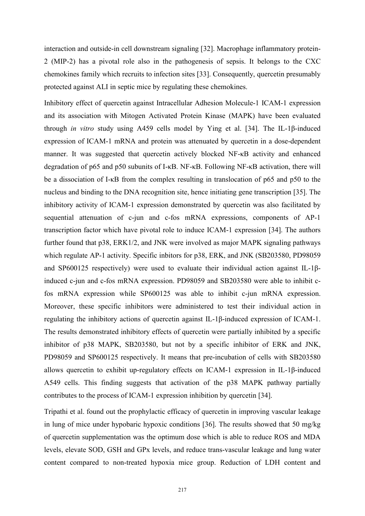interaction and outside-in cell downstream signaling [32]. Macrophage inflammatory protein- 2 (MIP-2) has a pivotal role also in the pathogenesis of sepsis. It belongs to the CXC chemokines family which recruits to infection sites[33]. Consequently, quercetin presumably protected against ALI in septic mice by regulating these chemokines.

Inhibitory effect of quercetin against Intracellular Adhesion Molecule-1 ICAM-1 expression and its association with Mitogen Activated Protein Kinase (MAPK) have been evaluated through *in vitro* study using A459 cells model by Ying et al. [34]. The IL-1β-induced expression of ICAM-1 mRNA and protein was attenuated by quercetin in a dose-dependent manner. It was suggested that quercetin actively blocked NF‐κB activity and enhanced degradation of p65 and p50 subunits of I-κB. NF-κB. Following NF-κB activation, there will be a dissociation of I‐κB from the complex resulting in translocation of p65 and p50 to the nucleus and binding to the DNA recognition site, hence initiating gene transcription [35]. The inhibitory activity of ICAM-1 expression demonstrated by quercetin was also facilitated by sequential attenuation of c-jun and c-fos mRNA expressions, components of AP-1 transcription factor which have pivotal role to induce ICAM-1 expression [34]. The authors further found that p38, ERK1/2, and JNK were involved as major MAPK signaling pathways which regulate AP-1 activity. Specific inbitors for p38, ERK, and JNK (SB203580, PD98059 and SP600125 respectively) were used to evaluate their individual action against IL-1βinduced c-jun and c-fos mRNA expression. PD98059 and SB203580 were able to inhibit cfos mRNA expression while SP600125 was able to inhibit c-jun mRNA expression. Moreover, these specific inhibitors were administered to test their individual action in regulating the inhibitory actions of quercetin against IL-1β-induced expression of ICAM-1. The results demonstrated inhibitory effects of quercetin were partially inhibited by a specific inhibitor of p38 MAPK, SB203580, but not by a specific inhibitor of ERK and JNK, PD98059 and SP600125 respectively. It means that pre-incubation of cells with SB203580 allows quercetin to exhibit up-regulatory effects on ICAM-1 expression in IL-1β-induced A549 cells. This finding suggests that activation of the p38 MAPK pathway partially contributes to the process of ICAM-1 expression inhibition by quercetin [34].

Tripathi et al. found out the prophylactic efficacy of quercetin in improving vascular leakage in lung of mice under hypobaric hypoxic conditions [36]. The results showed that 50 mg/kg of quercetin supplementation was the optimum dose which is able to reduce ROS and MDA levels, elevate SOD, GSH and GPx levels, and reduce trans-vascular leakage and lung water content compared to non-treated hypoxia mice group. Reduction of LDH content and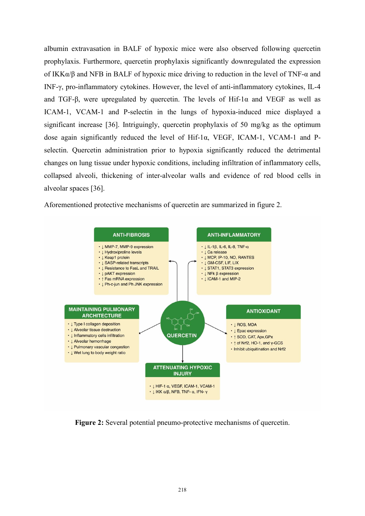albumin extravasation in BALF of hypoxic mice were also observed following quercetin prophylaxis. Furthermore, quercetin prophylaxis significantly downregulated the expression of IKKα/β and NFB in BALF of hypoxic mice driving to reduction in the level of TNF-α and INF-γ, pro-inflammatory cytokines. However, the level of anti-inflammatory cytokines, IL-4 and TGF-β, were upregulated by quercetin. The levels of Hif-1 $\alpha$  and VEGF as well as ICAM-1, VCAM-1 and P-selectin in the lungs of hypoxia-induced mice displayed a significant increase [36]. Intriguingly, quercetin prophylaxis of 50 mg/kg as the optimum dose again significantly reduced the level of Hif-1α, VEGF, ICAM-1, VCAM-1 and P selectin. Quercetin administration prior to hypoxia significantly reduced the detrimental changes on lung tissue under hypoxic conditions, including infiltration of inflammatory cells, collapsed alveoli, thickening of inter-alveolar walls and evidence of red blood cells in alveolar spaces [36].

Aforementioned protective mechanisms of quercetin are summarized in figure 2.



**Figure 2:** Several potential pneumo-protective mechanisms of quercetin.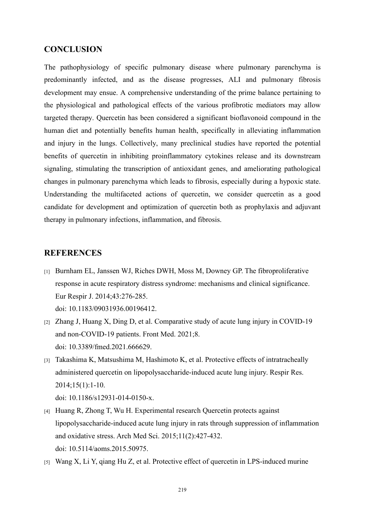#### **CONCLUSION**

The pathophysiology of specific pulmonary disease where pulmonary parenchyma is predominantly infected, and as the disease progresses, ALI and pulmonary fibrosis development may ensue. A comprehensive understanding of the prime balance pertaining to the physiological and pathological effects of the various profibrotic mediators may allow targeted therapy. Quercetin has been considered a significant bioflavonoid compound in the human diet and potentially benefits human health, specifically in alleviating inflammation and injury in the lungs. Collectively, many preclinical studies have reported the potential benefits of quercetin in inhibiting proinflammatory cytokines release and its downstream signaling, stimulating the transcription of antioxidant genes, and ameliorating pathological changes in pulmonary parenchyma which leads to fibrosis, especially during a hypoxic state. Understanding the multifaceted actions of quercetin, we consider quercetin as a good candidate for development and optimization of quercetin both as prophylaxis and adjuvant therapy in pulmonary infections, inflammation, and fibrosis.

# **REFERENCES**

[1] Burnham EL, Janssen WJ, Riches DWH, Moss M, Downey GP. The fibroproliferative response in acute respiratory distress syndrome: mechanisms and clinical significance. Eur Respir J. 2014;43:276-285.

doi: 10.1183/09031936.00196412.

- [2] Zhang J, Huang X, Ding D, et al. Comparative study of acute lung injury in COVID-19 and non-COVID-19 patients. Front Med. 2021;8. doi: 10.3389/fmed.2021.666629.
- [3] Takashima K, Matsushima M, Hashimoto K, et al. Protective effects of intratracheally administered quercetin on lipopolysaccharide-induced acute lung injury. Respir Res. 2014;15(1):1-10.

doi: 10.1186/s12931-014-0150-x.

- [4] Huang R, Zhong T, Wu H. Experimental research Quercetin protects against lipopolysaccharide-induced acute lung injury in rats through suppression of inflammation and oxidative stress. Arch Med Sci. 2015;11(2):427-432. doi: 10.5114/aoms.2015.50975.
- [5] Wang X, Li Y, qiang Hu Z, et al. Protective effect of quercetin in LPS-induced murine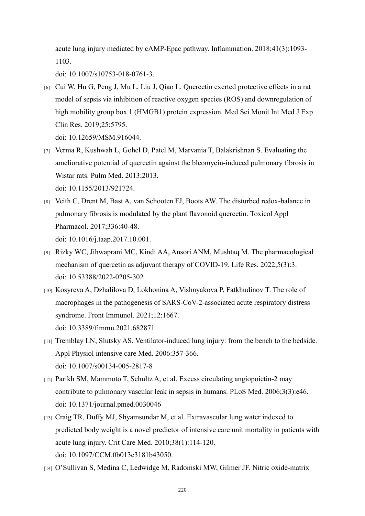acute lung injury mediated by cAMP-Epac pathway. Inflammation. 2018;41(3):1093- 1103.

doi: 10.1007/s10753-018-0761-3.

[6] Cui W, Hu G, Peng J, Mu L, Liu J, Qiao L. Quercetin exerted protective effects in a rat model of sepsis via inhibition of reactive oxygen species (ROS) and downregulation of high mobility group box 1 (HMGB1) protein expression. Med Sci Monit Int Med J Exp Clin Res. 2019;25:5795.

doi: 10.12659/MSM.916044.

- [7] Verma R, Kushwah L, Gohel D, Patel M, Marvania T, Balakrishnan S. Evaluating the ameliorative potential of quercetin against the bleomycin-induced pulmonary fibrosis in Wistar rats. Pulm Med. 2013;2013. doi: 10.1155/2013/921724.
- [8] Veith C, Drent M, Bast A, van Schooten FJ, Boots AW. The disturbed redox-balance in pulmonary fibrosis is modulated by the plant flavonoid quercetin. Toxicol Appl Pharmacol. 2017;336:40-48. doi: 10.1016/j.taap.2017.10.001.
- [9] Rizky WC, Jihwaprani MC, Kindi AA, Ansori ANM, Mushtaq M. The pharmacological mechanism of quercetin as adjuvant therapy of COVID-19. Life Res. 2022;5(3):3. doi: 10.53388/2022-0205-302
- [10] Kosyreva A, Dzhalilova D, Lokhonina A, Vishnyakova P, Fatkhudinov T. The role of macrophages in the pathogenesis of SARS-CoV-2-associated acute respiratory distress syndrome. Front Immunol. 2021;12:1667. doi: 10.3389/fimmu.2021.682871
- [11] Tremblay LN, Slutsky AS. Ventilator-induced lung injury: from the bench to the bedside. Appl Physiol intensive care Med. 2006:357-366. doi: 10.1007/s00134-005-2817-8
- [12] Parikh SM, Mammoto T, Schultz A, et al. Excess circulating angiopoietin-2 may contribute to pulmonary vascular leak in sepsis in humans. PLoS Med. 2006;3(3):e46. doi: 10.1371/journal.pmed.0030046
- [13] Craig TR, Duffy MJ, Shyamsundar M, et al. Extravascular lung water indexed to predicted body weight is a novel predictor of intensive care unit mortality in patients with acute lung injury. Crit Care Med. 2010;38(1):114-120. doi: 10.1097/CCM.0b013e3181b43050.
- [14] O'Sullivan S, Medina C, Ledwidge M, Radomski MW, Gilmer JF. Nitric oxide-matrix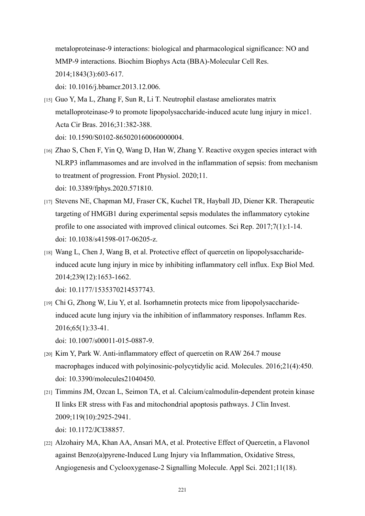metaloproteinase-9 interactions: biological and pharmacological significance: NO and MMP-9 interactions. Biochim Biophys Acta (BBA)-Molecular Cell Res. 2014;1843(3):603-617. doi: 10.1016/j.bbamcr.2013.12.006.

- [15] Guo Y, Ma L, Zhang F, Sun R, Li T. Neutrophil elastase ameliorates matrix metalloproteinase-9 to promote lipopolysaccharide-induced acute lung injury in mice1. Acta Cir Bras. 2016;31:382-388. doi: 10.1590/S0102-865020160060000004.
- [16] Zhao S, Chen F, Yin Q, Wang D, Han W, Zhang Y. Reactive oxygen species interact with NLRP3 inflammasomes and are involved in the inflammation of sepsis: from mechanism to treatment of progression. Front Physiol. 2020;11. doi: 10.3389/fphys.2020.571810.
- [17] Stevens NE, Chapman MJ, Fraser CK, Kuchel TR, Hayball JD, Diener KR. Therapeutic targeting of HMGB1 during experimental sepsis modulates the inflammatory cytokine profile to one associated with improved clinical outcomes. Sci Rep. 2017;7(1):1-14. doi: 10.1038/s41598-017-06205-z.
- [18] Wang L, Chen J, Wang B, et al. Protective effect of quercetin on lipopolysaccharideinduced acute lung injury in mice by inhibiting inflammatory cell influx. Exp Biol Med. 2014;239(12):1653-1662. doi: 10.1177/1535370214537743.
- [19] Chi G, Zhong W, Liu Y, et al. Isorhamnetin protects mice from lipopolysaccharideinduced acute lung injury via the inhibition of inflammatory responses. Inflamm Res. 2016;65(1):33-41.

doi: 10.1007/s00011-015-0887-9.

- [20] Kim Y, Park W. Anti-inflammatory effect of quercetin on RAW 264.7 mouse macrophages induced with polyinosinic‐polycytidylic acid. Molecules. 2016;21(4):450. doi: 10.3390/molecules21040450.
- [21] Timmins JM, Ozcan L, Seimon TA, et al. Calcium/calmodulin-dependent protein kinase II links ER stress with Fas and mitochondrial apoptosis pathways. J Clin Invest. 2009;119(10):2925-2941. doi: 10.1172/JCI38857.
- [22] Alzohairy MA, Khan AA, Ansari MA, et al. Protective Effect of Quercetin, a Flavonol against Benzo(a)pyrene-Induced Lung Injury via Inflammation, Oxidative Stress, Angiogenesis and Cyclooxygenase-2 Signalling Molecule. Appl Sci. 2021;11(18).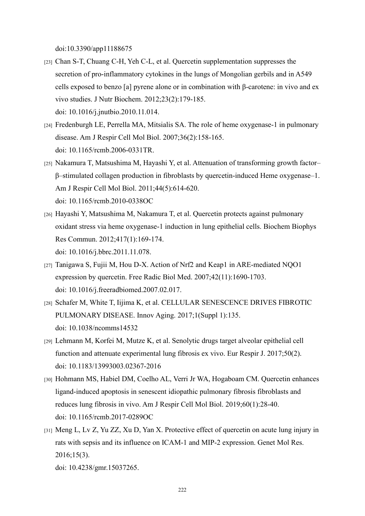doi:10.3390/app11188675

- [23] Chan S-T, Chuang C-H, Yeh C-L, et al. Quercetin supplementation suppresses the secretion of pro-inflammatory cytokines in the lungs of Mongolian gerbils and in A549 cells exposed to benzo [a] pyrene alone or in combination with β-carotene: in vivo and ex vivo studies. J Nutr Biochem. 2012;23(2):179-185. doi: 10.1016/j.jnutbio.2010.11.014.
- [24] Fredenburgh LE, Perrella MA, Mitsialis SA. The role of heme oxygenase-1 in pulmonary disease. Am J Respir Cell Mol Biol. 2007;36(2):158-165. doi: 10.1165/rcmb.2006-0331TR.
- [25] Nakamura T, Matsushima M, Hayashi Y, et al. Attenuation of transforming growth factor– β–stimulated collagen production in fibroblasts by quercetin-induced Heme oxygenase–1. Am J Respir Cell Mol Biol. 2011;44(5):614-620. doi: 10.1165/rcmb.2010-0338OC
- [26] Hayashi Y, Matsushima M, Nakamura T, et al. Quercetin protects against pulmonary oxidant stress via heme oxygenase-1 induction in lung epithelial cells. Biochem Biophys Res Commun. 2012;417(1):169-174. doi: 10.1016/j.bbrc.2011.11.078.
- [27] Tanigawa S, Fujii M, Hou D-X. Action of Nrf2 and Keap1 in ARE-mediated NQO1 expression by quercetin. Free Radic Biol Med. 2007;42(11):1690-1703. doi: 10.1016/j.freeradbiomed.2007.02.017.
- [28] Schafer M, White T, Iijima K, et al. CELLULAR SENESCENCE DRIVES FIBROTIC PULMONARY DISEASE. Innov Aging. 2017;1(Suppl 1):135. doi: 10.1038/ncomms14532
- [29] Lehmann M, Korfei M, Mutze K, et al. Senolytic drugs target alveolar epithelial cell function and attenuate experimental lung fibrosis ex vivo. Eur Respir J. 2017;50(2). doi: 10.1183/13993003.02367-2016
- [30] Hohmann MS, Habiel DM, Coelho AL, Verri Jr WA, Hogaboam CM. Quercetin enhances ligand-induced apoptosis in senescent idiopathic pulmonary fibrosis fibroblasts and reduces lung fibrosis in vivo. Am J Respir Cell Mol Biol. 2019;60(1):28-40. doi: 10.1165/rcmb.2017-0289OC
- [31] Meng L, Lv Z, Yu ZZ, Xu D, Yan X. Protective effect of quercetin on acute lung injury in rats with sepsis and its influence on ICAM-1 and MIP-2 expression.Genet Mol Res. 2016;15(3).

doi: 10.4238/gmr.15037265.